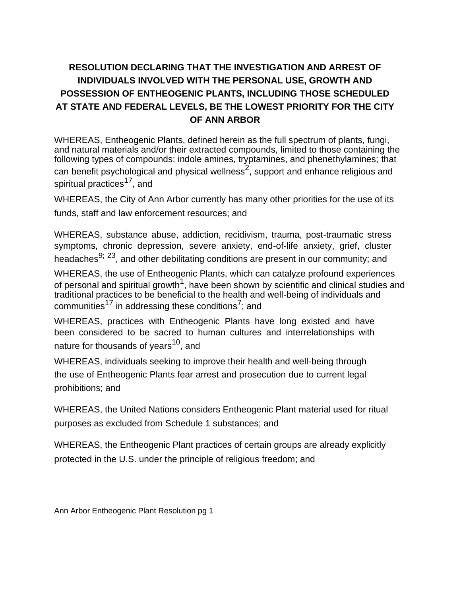## **RESOLUTION DECLARING THAT THE INVESTIGATION AND ARREST OF INDIVIDUALS INVOLVED WITH THE PERSONAL USE, GROWTH AND POSSESSION OF ENTHEOGENIC PLANTS, INCLUDING THOSE SCHEDULED AT STATE AND FEDERAL LEVELS, BE THE LOWEST PRIORITY FOR THE CITY OF ANN ARBOR**

WHEREAS, Entheogenic Plants, defined herein as the full spectrum of plants, fungi, and natural materials and/or their extracted compounds, limited to those containing the following types of compounds: indole amines, tryptamines, and phenethylamines; that can benefit psychological and physical wellness<sup>2</sup>, support and enhance religious and spiritual practices<sup>17</sup>, and

WHEREAS, the City of Ann Arbor currently has many other priorities for the use of its funds, staff and law enforcement resources; and

WHEREAS, substance abuse, addiction, recidivism, trauma, post-traumatic stress symptoms, chronic depression, severe anxiety, end-of-life anxiety, grief, cluster headaches<sup>9; 23</sup>, and other debilitating conditions are present in our community; and

WHEREAS, the use of Entheogenic Plants, which can catalyze profound experiences of personal and spiritual growth<sup>1</sup>, have been shown by scientific and clinical studies and traditional practices to be beneficial to the health and well-being of individuals and communities $^{17}$  in addressing these conditions<sup>7</sup>; and

WHEREAS, practices with Entheogenic Plants have long existed and have been considered to be sacred to human cultures and interrelationships with nature for thousands of years<sup>10</sup>, and

WHEREAS, individuals seeking to improve their health and well-being through the use of Entheogenic Plants fear arrest and prosecution due to current legal prohibitions; and

WHEREAS, the United Nations considers Entheogenic Plant material used for ritual purposes as excluded from Schedule 1 substances; and

WHEREAS, the Entheogenic Plant practices of certain groups are already explicitly protected in the U.S. under the principle of religious freedom; and

Ann Arbor Entheogenic Plant Resolution pg 1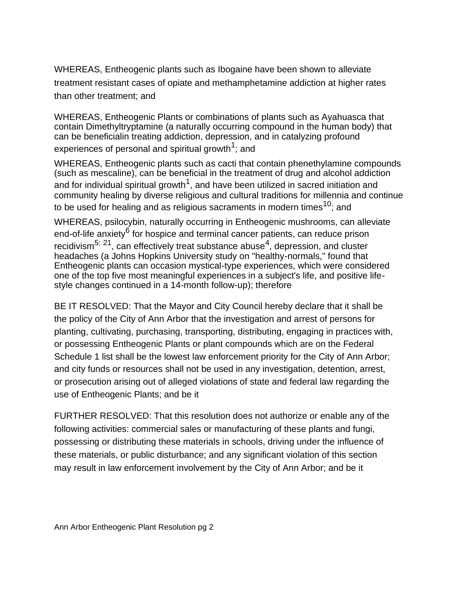WHEREAS, Entheogenic plants such as Ibogaine have been shown to alleviate treatment resistant cases of opiate and methamphetamine addiction at higher rates than other treatment; and

WHEREAS, Entheogenic Plants or combinations of plants such as Ayahuasca that contain Dimethyltryptamine (a naturally occurring compound in the human body) that can be beneficialin treating addiction, depression, and in catalyzing profound experiences of personal and spiritual growth<sup>1</sup>; and

WHEREAS, Entheogenic plants such as cacti that contain phenethylamine compounds (such as mescaline), can be beneficial in the treatment of drug and alcohol addiction and for individual spiritual growth<sup>1</sup>, and have been utilized in sacred initiation and community healing by diverse religious and cultural traditions for millennia and continue to be used for healing and as religious sacraments in modern times<sup>10</sup>; and

WHEREAS, psilocybin, naturally occurring in Entheogenic mushrooms, can alleviate end-of-life anxiety<sup>6</sup> for hospice and terminal cancer patients, can reduce prison recidivism<sup>5; 21</sup>, can effectively treat substance abuse<sup>4</sup>, depression, and cluster headaches (a Johns Hopkins University study on "healthy-normals," found that Entheogenic plants can occasion mystical-type experiences, which were considered one of the top five most meaningful experiences in a subject's life, and positive lifestyle changes continued in a 14-month follow-up); therefore

BE IT RESOLVED: That the Mayor and City Council hereby declare that it shall be the policy of the City of Ann Arbor that the investigation and arrest of persons for planting, cultivating, purchasing, transporting, distributing, engaging in practices with, or possessing Entheogenic Plants or plant compounds which are on the Federal Schedule 1 list shall be the lowest law enforcement priority for the City of Ann Arbor; and city funds or resources shall not be used in any investigation, detention, arrest, or prosecution arising out of alleged violations of state and federal law regarding the use of Entheogenic Plants; and be it

FURTHER RESOLVED: That this resolution does not authorize or enable any of the following activities: commercial sales or manufacturing of these plants and fungi, possessing or distributing these materials in schools, driving under the influence of these materials, or public disturbance; and any significant violation of this section may result in law enforcement involvement by the City of Ann Arbor; and be it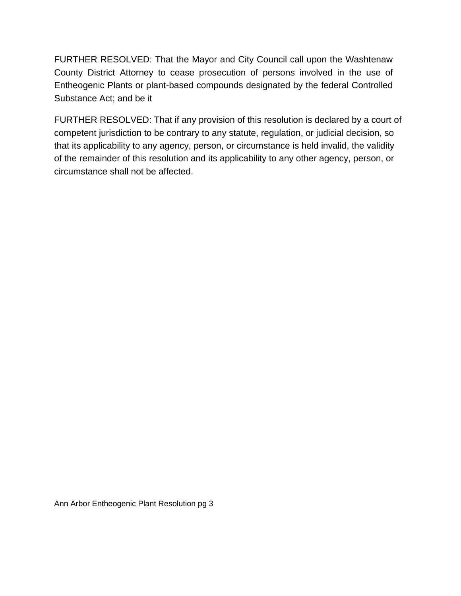FURTHER RESOLVED: That the Mayor and City Council call upon the Washtenaw County District Attorney to cease prosecution of persons involved in the use of Entheogenic Plants or plant-based compounds designated by the federal Controlled Substance Act; and be it

FURTHER RESOLVED: That if any provision of this resolution is declared by a court of competent jurisdiction to be contrary to any statute, regulation, or judicial decision, so that its applicability to any agency, person, or circumstance is held invalid, the validity of the remainder of this resolution and its applicability to any other agency, person, or circumstance shall not be affected.

Ann Arbor Entheogenic Plant Resolution pg 3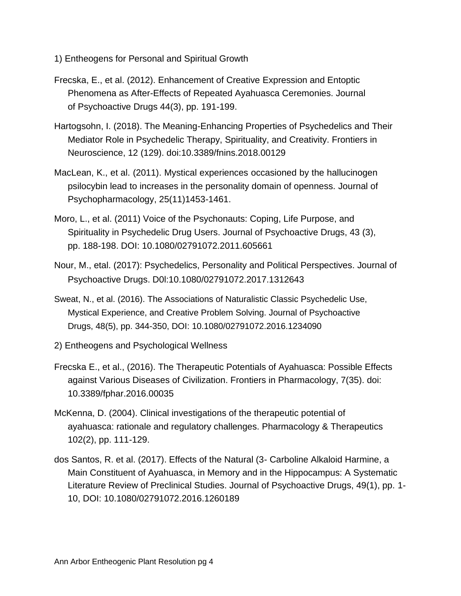- 1) Entheogens for Personal and Spiritual Growth
- Frecska, E., et al. (2012). Enhancement of Creative Expression and Entoptic Phenomena as After-Effects of Repeated Ayahuasca Ceremonies. Journal of Psychoactive Drugs 44(3), pp. 191-199.
- Hartogsohn, I. (2018). The Meaning-Enhancing Properties of Psychedelics and Their Mediator Role in Psychedelic Therapy, Spirituality, and Creativity. Frontiers in Neuroscience, 12 (129). doi:10.3389/fnins.2018.00129
- MacLean, K., et al. (2011). Mystical experiences occasioned by the hallucinogen psilocybin lead to increases in the personality domain of openness. Journal of Psychopharmacology, 25(11)1453-1461.
- Moro, L., et al. (2011) Voice of the Psychonauts: Coping, Life Purpose, and Spirituality in Psychedelic Drug Users. Journal of Psychoactive Drugs, 43 (3), pp. 188-198. DOI: 10.1080/02791072.2011.605661
- Nour, M., etal. (2017): Psychedelics, Personality and Political Perspectives. Journal of Psychoactive Drugs. D0l:10.1080/02791072.2017.1312643
- Sweat, N., et al. (2016). The Associations of Naturalistic Classic Psychedelic Use, Mystical Experience, and Creative Problem Solving. Journal of Psychoactive Drugs, 48(5), pp. 344-350, DOI: 10.1080/02791072.2016.1234090
- 2) Entheogens and Psychological Wellness
- Frecska E., et al., (2016). The Therapeutic Potentials of Ayahuasca: Possible Effects against Various Diseases of Civilization. Frontiers in Pharmacology, 7(35). doi: 10.3389/fphar.2016.00035
- McKenna, D. (2004). Clinical investigations of the therapeutic potential of ayahuasca: rationale and regulatory challenges. Pharmacology & Therapeutics 102(2), pp. 111-129.
- dos Santos, R. et al. (2017). Effects of the Natural (3- Carboline Alkaloid Harmine, a Main Constituent of Ayahuasca, in Memory and in the Hippocampus: A Systematic Literature Review of Preclinical Studies. Journal of Psychoactive Drugs, 49(1), pp. 1- 10, DOI: 10.1080/02791072.2016.1260189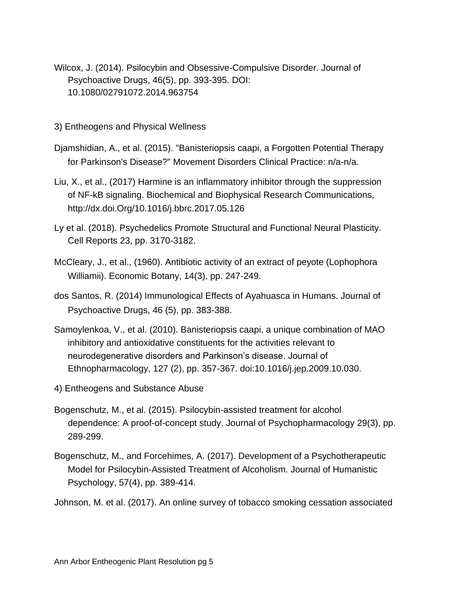- Wilcox, J. (2014). Psilocybin and Obsessive-Compulsive Disorder. Journal of Psychoactive Drugs, 46(5), pp. 393-395. DOI: 10.1080/02791072.2014.963754
- 3) Entheogens and Physical Wellness
- Djamshidian, A., et al. (2015). "Banisteriopsis caapi, a Forgotten Potential Therapy for Parkinson's Disease?" Movement Disorders Clinical Practice: n/a-n/a.
- Liu, X., et al., (2017) Harmine is an inflammatory inhibitor through the suppression of NF-kB signaling. Biochemical and Biophysical Research Communications, http://dx.doi.Org/10.1016/j.bbrc.2017.05.126
- Ly et al. (2018). Psychedelics Promote Structural and Functional Neural Plasticity. Cell Reports 23, pp. 3170-3182.
- McCleary, J., et al., (1960). Antibiotic activity of an extract of peyote (Lophophora Williamii). Economic Botany, 14(3), pp. 247-249.
- dos Santos, R. (2014) Immunological Effects of Ayahuasca in Humans. Journal of Psychoactive Drugs, 46 (5), pp. 383-388.
- Samoylenkoa, V., et al. (2010). Banisteriopsis caapi, a unique combination of MAO inhibitory and antioxidative constituents for the activities relevant to neurodegenerative disorders and Parkinson's disease. Journal of Ethnopharmacology, 127 (2), pp. 357-367. doi:10.1016/j.jep.2009.10.030.
- 4) Entheogens and Substance Abuse
- Bogenschutz, M., et al. (2015). Psilocybin-assisted treatment for alcohol dependence: A proof-of-concept study. Journal of Psychopharmacology 29(3), pp. 289-299.
- Bogenschutz, M., and Forcehimes, A. (2017). Development of a Psychotherapeutic Model for Psilocybin-Assisted Treatment of Alcoholism. Journal of Humanistic Psychology, 57(4), pp. 389-414.
- Johnson, M. et al. (2017). An online survey of tobacco smoking cessation associated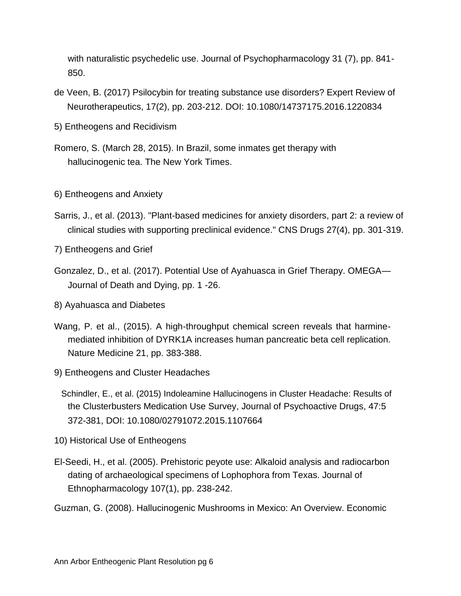with naturalistic psychedelic use. Journal of Psychopharmacology 31 (7), pp. 841- 850.

- de Veen, B. (2017) Psilocybin for treating substance use disorders? Expert Review of Neurotherapeutics, 17(2), pp. 203-212. DOI: 10.1080/14737175.2016.1220834
- 5) Entheogens and Recidivism
- Romero, S. (March 28, 2015). In Brazil, some inmates get therapy with hallucinogenic tea. The New York Times.
- 6) Entheogens and Anxiety
- Sarris, J., et al. (2013). "Plant-based medicines for anxiety disorders, part 2: a review of clinical studies with supporting preclinical evidence." CNS Drugs 27(4), pp. 301-319.

7) Entheogens and Grief

- Gonzalez, D., et al. (2017). Potential Use of Ayahuasca in Grief Therapy. OMEGA— Journal of Death and Dying, pp. 1 -26.
- 8) Ayahuasca and Diabetes
- Wang, P. et al., (2015). A high-throughput chemical screen reveals that harminemediated inhibition of DYRK1A increases human pancreatic beta cell replication. Nature Medicine 21, pp. 383-388.
- 9) Entheogens and Cluster Headaches
	- Schindler, E., et al. (2015) Indoleamine Hallucinogens in Cluster Headache: Results of the Clusterbusters Medication Use Survey, Journal of Psychoactive Drugs, 47:5 372-381, DOI: 10.1080/02791072.2015.1107664
- 10) Historical Use of Entheogens
- El-Seedi, H., et al. (2005). Prehistoric peyote use: Alkaloid analysis and radiocarbon dating of archaeological specimens of Lophophora from Texas. Journal of Ethnopharmacology 107(1), pp. 238-242.

Guzman, G. (2008). Hallucinogenic Mushrooms in Mexico: An Overview. Economic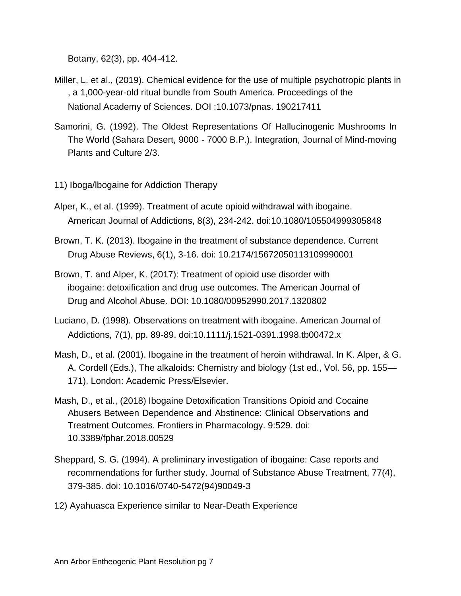Botany, 62(3), pp. 404-412.

- Miller, L. et al., (2019). Chemical evidence for the use of multiple psychotropic plants in , a 1,000-year-old ritual bundle from South America. Proceedings of the National Academy of Sciences. DOI :10.1073/pnas. 190217411
- Samorini, G. (1992). The Oldest Representations Of Hallucinogenic Mushrooms In The World (Sahara Desert, 9000 - 7000 B.P.). Integration, Journal of Mind-moving Plants and Culture 2/3.
- 11) Iboga/lbogaine for Addiction Therapy
- Alper, K., et al. (1999). Treatment of acute opioid withdrawal with ibogaine. American Journal of Addictions, 8(3), 234-242. doi:10.1080/105504999305848
- Brown, T. K. (2013). Ibogaine in the treatment of substance dependence. Current Drug Abuse Reviews, 6(1), 3-16. doi: 10.2174/15672050113109990001
- Brown, T. and Alper, K. (2017): Treatment of opioid use disorder with ibogaine: detoxification and drug use outcomes. The American Journal of Drug and Alcohol Abuse. DOI: 10.1080/00952990.2017.1320802
- Luciano, D. (1998). Observations on treatment with ibogaine. American Journal of Addictions, 7(1), pp. 89-89. doi:10.1111/j.1521-0391.1998.tb00472.x
- Mash, D., et al. (2001). Ibogaine in the treatment of heroin withdrawal. In K. Alper, & G. A. Cordell (Eds.), The alkaloids: Chemistry and biology (1st ed., Vol. 56, pp. 155— 171). London: Academic Press/Elsevier.
- Mash, D., et al., (2018) Ibogaine Detoxification Transitions Opioid and Cocaine Abusers Between Dependence and Abstinence: Clinical Observations and Treatment Outcomes. Frontiers in Pharmacology. 9:529. doi: 10.3389/fphar.2018.00529
- Sheppard, S. G. (1994). A preliminary investigation of ibogaine: Case reports and recommendations for further study. Journal of Substance Abuse Treatment, 77(4), 379-385. doi: 10.1016/0740-5472(94)90049-3
- 12) Ayahuasca Experience similar to Near-Death Experience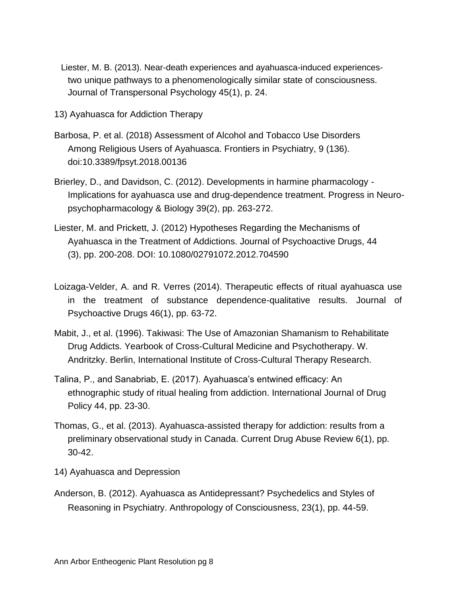- Liester, M. B. (2013). Near-death experiences and ayahuasca-induced experiencestwo unique pathways to a phenomenologically similar state of consciousness. Journal of Transpersonal Psychology 45(1), p. 24.
- 13) Ayahuasca for Addiction Therapy
- Barbosa, P. et al. (2018) Assessment of Alcohol and Tobacco Use Disorders Among Religious Users of Ayahuasca. Frontiers in Psychiatry, 9 (136). doi:10.3389/fpsyt.2018.00136
- Brierley, D., and Davidson, C. (2012). Developments in harmine pharmacology Implications for ayahuasca use and drug-dependence treatment. Progress in Neuropsychopharmacology & Biology 39(2), pp. 263-272.
- Liester, M. and Prickett, J. (2012) Hypotheses Regarding the Mechanisms of Ayahuasca in the Treatment of Addictions. Journal of Psychoactive Drugs, 44 (3), pp. 200-208. DOI: 10.1080/02791072.2012.704590
- Loizaga-Velder, A. and R. Verres (2014). Therapeutic effects of ritual ayahuasca use in the treatment of substance dependence-qualitative results. Journal of Psychoactive Drugs 46(1), pp. 63-72.
- Mabit, J., et al. (1996). Takiwasi: The Use of Amazonian Shamanism to Rehabilitate Drug Addicts. Yearbook of Cross-Cultural Medicine and Psychotherapy. W. Andritzky. Berlin, International Institute of Cross-Cultural Therapy Research.
- Talina, P., and Sanabriab, E. (2017). Ayahuasca's entwined efficacy: An ethnographic study of ritual healing from addiction. International Journal of Drug Policy 44, pp. 23-30.
- Thomas, G., et al. (2013). Ayahuasca-assisted therapy for addiction: results from a preliminary observational study in Canada. Current Drug Abuse Review 6(1), pp. 30-42.
- 14) Ayahuasca and Depression
- Anderson, B. (2012). Ayahuasca as Antidepressant? Psychedelics and Styles of Reasoning in Psychiatry. Anthropology of Consciousness, 23(1), pp. 44-59.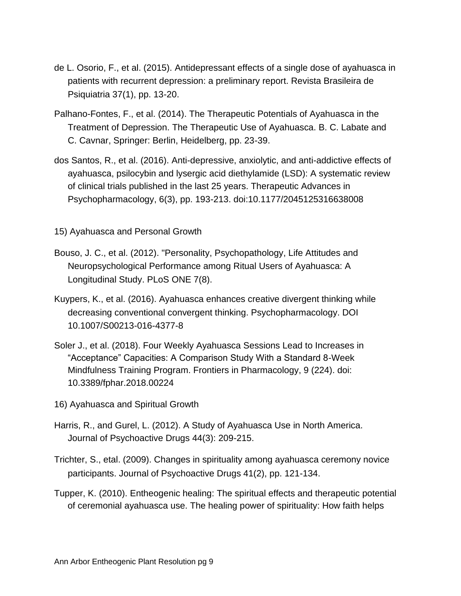- de L. Osorio, F., et al. (2015). Antidepressant effects of a single dose of ayahuasca in patients with recurrent depression: a preliminary report. Revista Brasileira de Psiquiatria 37(1), pp. 13-20.
- Palhano-Fontes, F., et al. (2014). The Therapeutic Potentials of Ayahuasca in the Treatment of Depression. The Therapeutic Use of Ayahuasca. B. C. Labate and C. Cavnar, Springer: Berlin, Heidelberg, pp. 23-39.
- dos Santos, R., et al. (2016). Anti-depressive, anxiolytic, and anti-addictive effects of ayahuasca, psilocybin and lysergic acid diethylamide (LSD): A systematic review of clinical trials published in the last 25 years. Therapeutic Advances in Psychopharmacology, 6(3), pp. 193-213. doi:10.1177/2045125316638008

15) Ayahuasca and Personal Growth

- Bouso, J. C., et al. (2012). "Personality, Psychopathology, Life Attitudes and Neuropsychological Performance among Ritual Users of Ayahuasca: A Longitudinal Study. PLoS ONE 7(8).
- Kuypers, K., et al. (2016). Ayahuasca enhances creative divergent thinking while decreasing conventional convergent thinking. Psychopharmacology. DOI 10.1007/S00213-016-4377-8
- Soler J., et al. (2018). Four Weekly Ayahuasca Sessions Lead to Increases in "Acceptance" Capacities: A Comparison Study With a Standard 8-Week Mindfulness Training Program. Frontiers in Pharmacology, 9 (224). doi: 10.3389/fphar.2018.00224
- 16) Ayahuasca and Spiritual Growth
- Harris, R., and Gurel, L. (2012). A Study of Ayahuasca Use in North America. Journal of Psychoactive Drugs 44(3): 209-215.
- Trichter, S., etal. (2009). Changes in spirituality among ayahuasca ceremony novice participants. Journal of Psychoactive Drugs 41(2), pp. 121-134.
- Tupper, K. (2010). Entheogenic healing: The spiritual effects and therapeutic potential of ceremonial ayahuasca use. The healing power of spirituality: How faith helps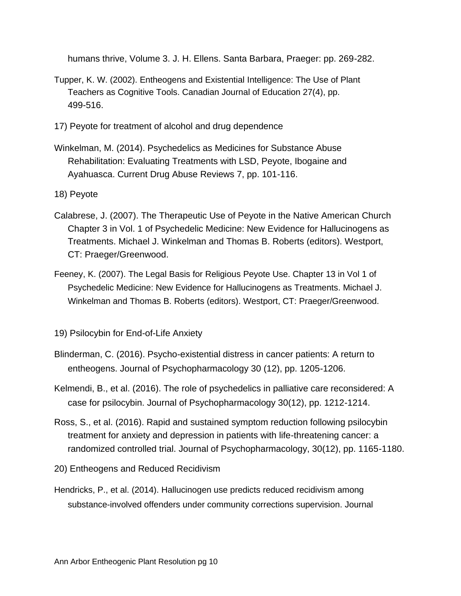humans thrive, Volume 3. J. H. Ellens. Santa Barbara, Praeger: pp. 269-282.

- Tupper, K. W. (2002). Entheogens and Existential Intelligence: The Use of Plant Teachers as Cognitive Tools. Canadian Journal of Education 27(4), pp. 499-516.
- 17) Peyote for treatment of alcohol and drug dependence
- Winkelman, M. (2014). Psychedelics as Medicines for Substance Abuse Rehabilitation: Evaluating Treatments with LSD, Peyote, Ibogaine and Ayahuasca. Current Drug Abuse Reviews 7, pp. 101-116.

18) Peyote

- Calabrese, J. (2007). The Therapeutic Use of Peyote in the Native American Church Chapter 3 in Vol. 1 of Psychedelic Medicine: New Evidence for Hallucinogens as Treatments. Michael J. Winkelman and Thomas B. Roberts (editors). Westport, CT: Praeger/Greenwood.
- Feeney, K. (2007). The Legal Basis for Religious Peyote Use. Chapter 13 in Vol 1 of Psychedelic Medicine: New Evidence for Hallucinogens as Treatments. Michael J. Winkelman and Thomas B. Roberts (editors). Westport, CT: Praeger/Greenwood.
- 19) Psilocybin for End-of-Life Anxiety
- Blinderman, C. (2016). Psycho-existential distress in cancer patients: A return to entheogens. Journal of Psychopharmacology 30 (12), pp. 1205-1206.
- Kelmendi, B., et al. (2016). The role of psychedelics in palliative care reconsidered: A case for psilocybin. Journal of Psychopharmacology 30(12), pp. 1212-1214.
- Ross, S., et al. (2016). Rapid and sustained symptom reduction following psilocybin treatment for anxiety and depression in patients with life-threatening cancer: a randomized controlled trial. Journal of Psychopharmacology, 30(12), pp. 1165-1180.

20) Entheogens and Reduced Recidivism

Hendricks, P., et al. (2014). Hallucinogen use predicts reduced recidivism among substance-involved offenders under community corrections supervision. Journal